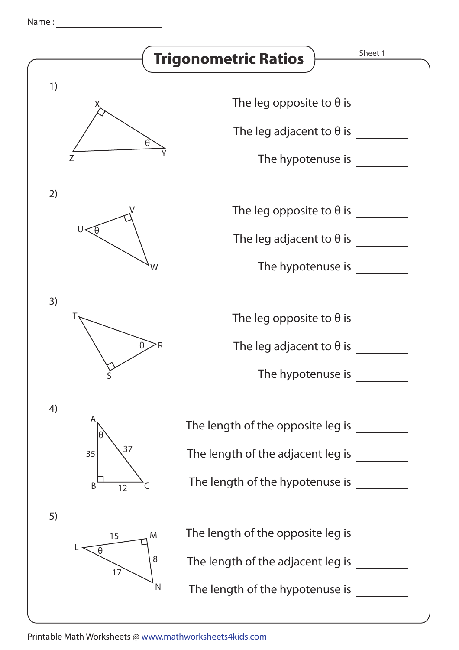